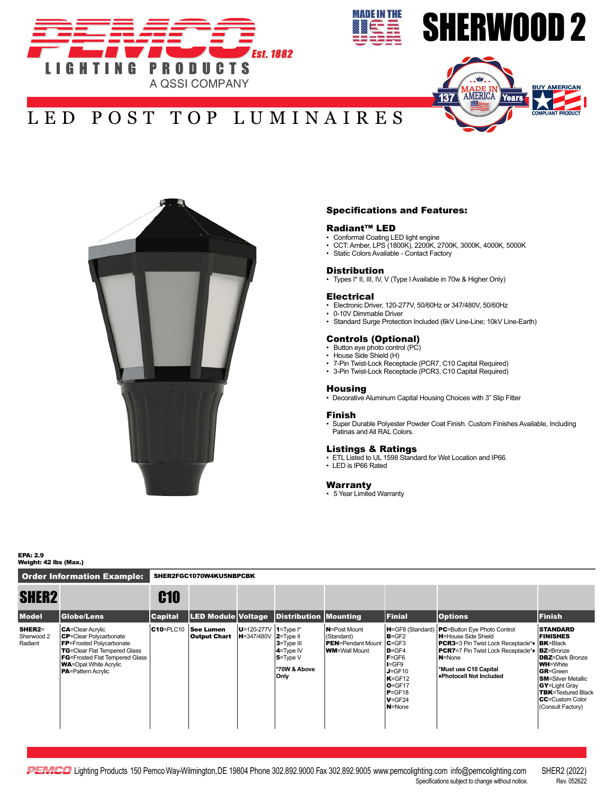



# SHERWOOD 2



# LED POST TOP LUMINAIRES



### Specifications and Features:

### Radiant™ LED

- Conformal Coating LED light engine
- CCT: Amber, LPS (1800K), 2200K, 2700K, 3000K, 4000K, 5000K
- Static Colors Available Contact Factory

#### **Distribution**

• Types I\* II, III, IV, V (Type I Available in 70w & Higher Only)

#### **Electrical**

- Electronic Driver, 120-277V, 50/60Hz or 347/480V, 50/60Hz
- 0-10V Dimmable Driver • Standard Surge Protection Included (6kV Line-Line; 10kV Line-Earth)

### Controls (Optional)

- Button eye photo control (PC)
- House Side Shield (H)
- 7-Pin Twist-Lock Receptacle (PCR7, C10 Capital Required)
- 3-Pin Twist-Lock Receptacle (PCR3, C10 Capital Required)

# Housing

• Decorative Aluminum Capital Housing Choices with 3" Slip Fitter

#### Finish

• Super Durable Polyester Powder Coat Finish. Custom Finishes Available, Including Patinas and All RAL Colors.

#### Listings & Ratings

- ETL Listed to UL 1598 Standard for Wet Location and IP66.
- LED is IP66 Rated

# Warranty

• 5 Year Limited Warranty

EPA: 2.9 Weight: 42 lbs (Max.)

Order Information Example: SHER2FGC1070W4KU5NBPCBK

| <b>SHER2</b>                           |                                                                                                                                                                                                                                                 | <b>C10</b>     |                                                           |                                 |                                                                    |                                                                                          |                                                                                                                                                                   |                                                                                                                                                                                                                                                                         |                                                                                                                                                                                                                                          |
|----------------------------------------|-------------------------------------------------------------------------------------------------------------------------------------------------------------------------------------------------------------------------------------------------|----------------|-----------------------------------------------------------|---------------------------------|--------------------------------------------------------------------|------------------------------------------------------------------------------------------|-------------------------------------------------------------------------------------------------------------------------------------------------------------------|-------------------------------------------------------------------------------------------------------------------------------------------------------------------------------------------------------------------------------------------------------------------------|------------------------------------------------------------------------------------------------------------------------------------------------------------------------------------------------------------------------------------------|
| <b>Model</b>                           | Globe/Lens                                                                                                                                                                                                                                      | <b>Capital</b> | <b>LED Module Voltage</b>                                 |                                 | Distribution Mounting                                              |                                                                                          | Finial                                                                                                                                                            | <b>Options</b>                                                                                                                                                                                                                                                          | <b>Finish</b>                                                                                                                                                                                                                            |
| <b>SHER2=</b><br>Sherwood 2<br>Radiant | <b>CA</b> =Clear Acrylic<br><b>CP</b> =Clear Polycarbonate<br><b>FP</b> =Frosted Polycarbonate<br><b>TG</b> =Clear Flat Tempered Glass<br><b>FG</b> =Frosted Flat Tempered Glass<br><b>WA</b> =Opal White Acrylic<br><b>PA</b> =Pattern Acrylic | $C10 = PLC10$  | See Lumen<br><b>Output Chart   H=347/480V   2=Type II</b> | $ U=120-277V $ 1=Type $\vert$ * | 3=Type III<br>$4 = Type IV$<br>$5 = TypeV$<br>*70W & Above<br>Only | <b>N</b> =Post Mount<br>(Standard)<br><b>PEN</b> =Pendant Mount<br><b>WM=</b> Wall Mount | H=GF8 (Standard)<br>$B = GF2$<br>$C = GF3$<br>$D = GF4$<br>$F = GF6$<br>$I = GF9$<br>$J = GF10$<br>$K = GF12$<br>$O = GF17$<br>$P = GF18$<br>$V = GF24$<br>N=None | <b>PC</b> =Button Eye Photo Control<br><b>H</b> =House Side Shield<br><b>PCR3</b> =3 Pin Twist Lock Receptacle** <b>BK</b> =Black<br><b>PCR7</b> =7 Pin Twist Lock Receptacle** <b>BZ</b> =Bronze<br><b>N</b> =None<br>*Must use C10 Capital<br>◆Photocell Not Included | <b>STANDARD</b><br><b>FINISHES</b><br><b>DBZ</b> =Dark Bronze<br><b>WH=White</b><br><b>GR</b> =Green<br><b>SM-Silver Metallic</b><br><b>GY</b> =Light Gray<br><b>TBK</b> =Textured Black<br><b>CC</b> =Custom Color<br>(Consult Factory) |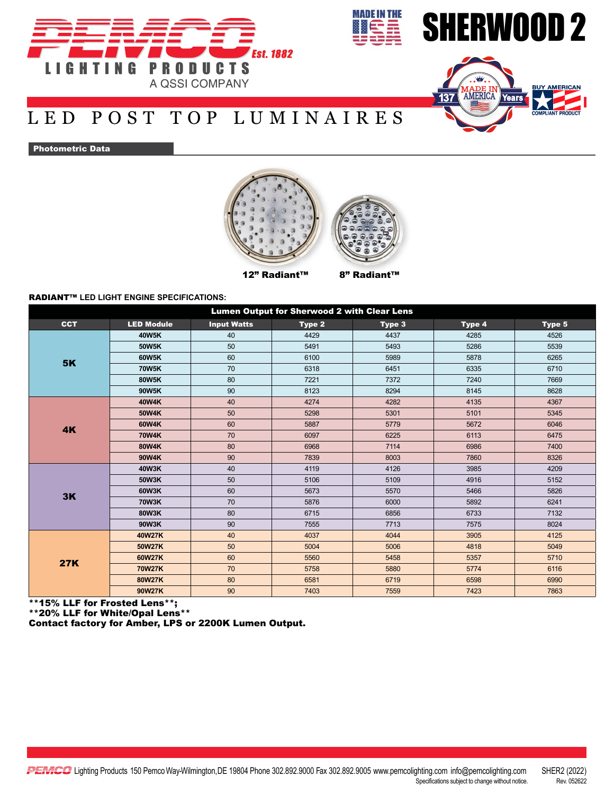



# LED POST TOP LUMINAIRES

# Photometric Data



**MADE IN THE** 

## RADIANT™ **LED LIGHT ENGINE SPECIFICATIONS:**

| <b>Lumen Output for Sherwood 2 with Clear Lens</b> |                   |                    |        |        |        |        |  |  |  |  |  |
|----------------------------------------------------|-------------------|--------------------|--------|--------|--------|--------|--|--|--|--|--|
| <b>CCT</b>                                         | <b>LED Module</b> | <b>Input Watts</b> | Type 2 | Type 3 | Type 4 | Type 5 |  |  |  |  |  |
|                                                    | 40W5K             | 40                 | 4429   | 4437   | 4285   | 4526   |  |  |  |  |  |
|                                                    | 50W5K             | 50                 | 5491   | 5493   | 5286   | 5539   |  |  |  |  |  |
| <b>5K</b>                                          | 60W5K             | 60                 | 6100   | 5989   | 5878   | 6265   |  |  |  |  |  |
|                                                    | <b>70W5K</b>      | 70                 | 6318   | 6451   | 6335   | 6710   |  |  |  |  |  |
|                                                    | 80W5K             | 80                 | 7221   | 7372   | 7240   | 7669   |  |  |  |  |  |
|                                                    | 90W5K             | 90                 | 8123   | 8294   | 8145   | 8628   |  |  |  |  |  |
|                                                    | 40W4K             | 40                 | 4274   | 4282   | 4135   | 4367   |  |  |  |  |  |
|                                                    | 50W4K             | 50                 | 5298   | 5301   | 5101   | 5345   |  |  |  |  |  |
| 4K                                                 | 60W4K             | 60                 | 5887   | 5779   | 5672   | 6046   |  |  |  |  |  |
|                                                    | 70W4K             | 70                 | 6097   | 6225   | 6113   | 6475   |  |  |  |  |  |
|                                                    | 80W4K             | 80                 | 6968   | 7114   | 6986   | 7400   |  |  |  |  |  |
|                                                    | 90W4K             | 90                 | 7839   | 8003   | 7860   | 8326   |  |  |  |  |  |
|                                                    | <b>40W3K</b>      | 40                 | 4119   | 4126   | 3985   | 4209   |  |  |  |  |  |
|                                                    | 50W3K             | 50                 | 5106   | 5109   | 4916   | 5152   |  |  |  |  |  |
| 3K                                                 | 60W3K             | 60                 | 5673   | 5570   | 5466   | 5826   |  |  |  |  |  |
|                                                    | <b>70W3K</b>      | 70                 | 5876   | 6000   | 5892   | 6241   |  |  |  |  |  |
|                                                    | 80W3K             | 80                 | 6715   | 6856   | 6733   | 7132   |  |  |  |  |  |
|                                                    | 90W3K             | 90                 | 7555   | 7713   | 7575   | 8024   |  |  |  |  |  |
|                                                    | 40W27K            | 40                 | 4037   | 4044   | 3905   | 4125   |  |  |  |  |  |
|                                                    | <b>50W27K</b>     | 50                 | 5004   | 5006   | 4818   | 5049   |  |  |  |  |  |
| <b>27K</b>                                         | 60W27K            | 60                 | 5560   | 5458   | 5357   | 5710   |  |  |  |  |  |
|                                                    | 70W27K            | 70                 | 5758   | 5880   | 5774   | 6116   |  |  |  |  |  |
|                                                    | 80W27K            | 80                 | 6581   | 6719   | 6598   | 6990   |  |  |  |  |  |
|                                                    | 90W27K            | 90                 | 7403   | 7559   | 7423   | 7863   |  |  |  |  |  |

\*\*15% LLF for Frosted Lens\*\*;

\*\*20% LLF for White/Opal Lens\*\*

Contact factory for Amber, LPS or 2200K Lumen Output.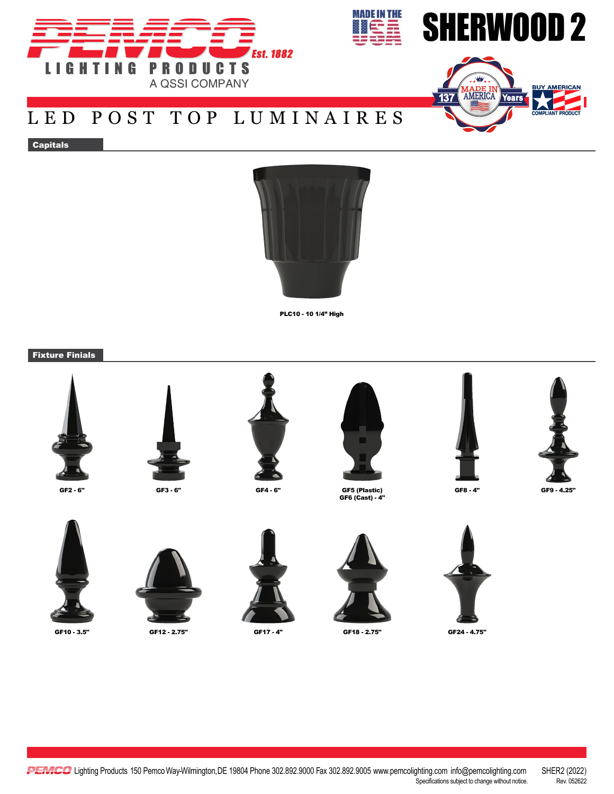



# LED POST TOP LUMINAIRES

Capitals



PLC10 - 10 1/4" High

Fixture Finials











**MADE IN THE** 

GF6 (Cast) - 4"













GF10 - 3.5" GF12 - 2.75" GF17 - 4" GF18 - 2.75" GF24 - 4.75"



GF8 - 4" GF9 - 4.25"